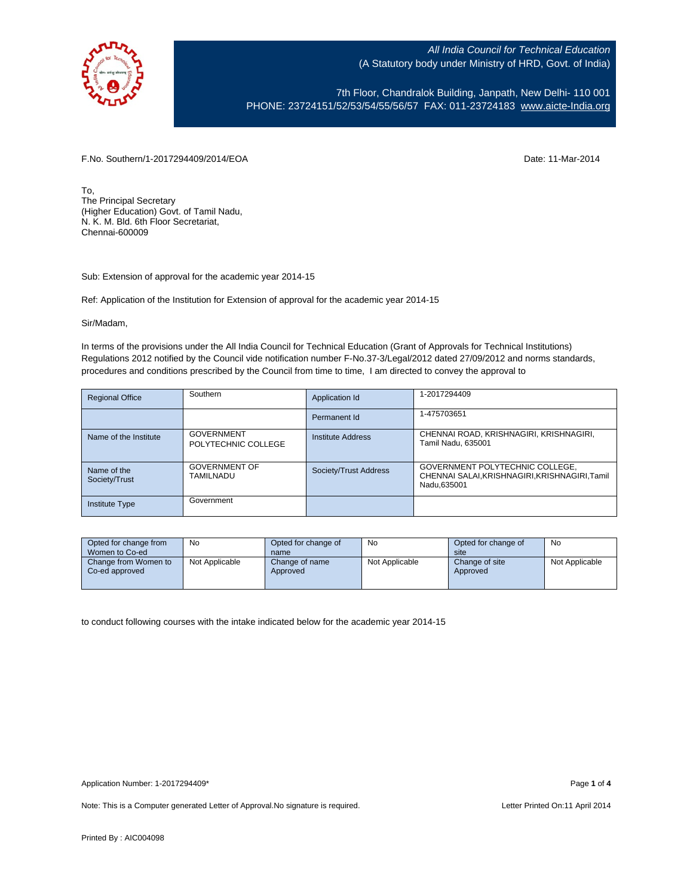

7th Floor, Chandralok Building, Janpath, New Delhi- 110 001 PHONE: 23724151/52/53/54/55/56/57 FAX: 011-23724183 [www.aicte-India.org](http://www.aicte-india.org/)

F.No. Southern/1-2017294409/2014/EOA Date: 11-Mar-2014

To, The Principal Secretary (Higher Education) Govt. of Tamil Nadu, N. K. M. Bld. 6th Floor Secretariat, Chennai-600009

Sub: Extension of approval for the academic year 2014-15

Ref: Application of the Institution for Extension of approval for the academic year 2014-15

Sir/Madam,

In terms of the provisions under the All India Council for Technical Education (Grant of Approvals for Technical Institutions) Regulations 2012 notified by the Council vide notification number F-No.37-3/Legal/2012 dated 27/09/2012 and norms standards, procedures and conditions prescribed by the Council from time to time, I am directed to convey the approval to

| <b>Regional Office</b>       | Southern                                 | Application Id        | 1-2017294409                                                                                     |
|------------------------------|------------------------------------------|-----------------------|--------------------------------------------------------------------------------------------------|
|                              |                                          | Permanent Id          | 1-475703651                                                                                      |
| Name of the Institute        | <b>GOVERNMENT</b><br>POLYTECHNIC COLLEGE | Institute Address     | CHENNAI ROAD, KRISHNAGIRI, KRISHNAGIRI,<br>Tamil Nadu, 635001                                    |
| Name of the<br>Society/Trust | <b>GOVERNMENT OF</b><br>TAMILNADU        | Society/Trust Address | GOVERNMENT POLYTECHNIC COLLEGE,<br>CHENNAI SALAI, KRISHNAGIRI, KRISHNAGIRI, Tamil<br>Nadu.635001 |
| <b>Institute Type</b>        | Government                               |                       |                                                                                                  |

| Opted for change from<br>Women to Co-ed | No             | Opted for change of<br>name | No             | Opted for change of<br>site | No             |
|-----------------------------------------|----------------|-----------------------------|----------------|-----------------------------|----------------|
| Change from Women to<br>Co-ed approved  | Not Applicable | Change of name<br>Approved  | Not Applicable | Change of site<br>Approved  | Not Applicable |

to conduct following courses with the intake indicated below for the academic year 2014-15

Note: This is a Computer generated Letter of Approval. No signature is required. Letter Printed On:11 April 2014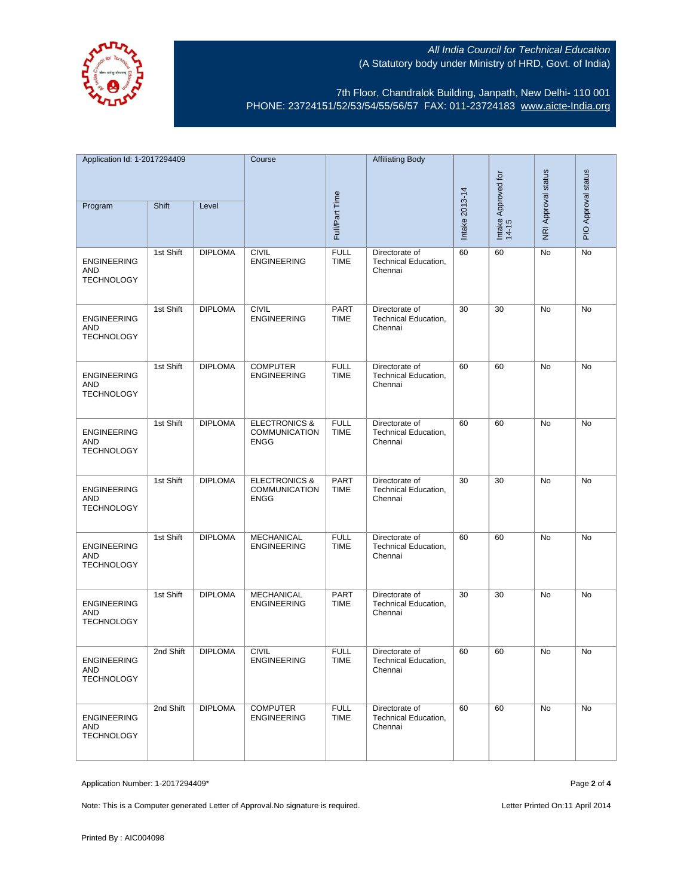

7th Floor, Chandralok Building, Janpath, New Delhi- 110 001 PHONE: 23724151/52/53/54/55/56/57 FAX: 011-23724183 [www.aicte-India.org](http://www.aicte-india.org/)

| Application Id: 1-2017294409                          |           | Course         |                                                                 | <b>Affiliating Body</b>    |                                                          |                |                              |                            |                     |
|-------------------------------------------------------|-----------|----------------|-----------------------------------------------------------------|----------------------------|----------------------------------------------------------|----------------|------------------------------|----------------------------|---------------------|
|                                                       |           |                |                                                                 |                            |                                                          |                |                              |                            |                     |
| Program                                               | Shift     | Level          |                                                                 | Full/Part Time             |                                                          | Intake 2013-14 | Intake Approved for<br>14-15 | <b>NRI Approval status</b> | PIO Approval status |
| <b>ENGINEERING</b><br>AND<br><b>TECHNOLOGY</b>        | 1st Shift | <b>DIPLOMA</b> | <b>CIVIL</b><br><b>ENGINEERING</b>                              | <b>FULL</b><br><b>TIME</b> | Directorate of<br>Technical Education,<br>Chennai        | 60             | 60                           | No                         | No                  |
| <b>ENGINEERING</b><br>AND<br><b>TECHNOLOGY</b>        | 1st Shift | <b>DIPLOMA</b> | <b>CIVIL</b><br><b>ENGINEERING</b>                              | PART<br><b>TIME</b>        | Directorate of<br><b>Technical Education,</b><br>Chennai | 30             | 30                           | No                         | No                  |
| <b>ENGINEERING</b><br>AND<br><b>TECHNOLOGY</b>        | 1st Shift | <b>DIPLOMA</b> | <b>COMPUTER</b><br><b>ENGINEERING</b>                           | <b>FULL</b><br><b>TIME</b> | Directorate of<br>Technical Education,<br>Chennai        | 60             | 60                           | <b>No</b>                  | <b>No</b>           |
| <b>ENGINEERING</b><br>AND<br><b>TECHNOLOGY</b>        | 1st Shift | <b>DIPLOMA</b> | <b>ELECTRONICS &amp;</b><br><b>COMMUNICATION</b><br><b>ENGG</b> | <b>FULL</b><br><b>TIME</b> | Directorate of<br>Technical Education,<br>Chennai        | 60             | 60                           | No                         | No                  |
| <b>ENGINEERING</b><br><b>AND</b><br><b>TECHNOLOGY</b> | 1st Shift | <b>DIPLOMA</b> | <b>ELECTRONICS &amp;</b><br><b>COMMUNICATION</b><br><b>ENGG</b> | <b>PART</b><br><b>TIME</b> | Directorate of<br>Technical Education,<br>Chennai        | 30             | 30                           | No                         | No                  |
| <b>ENGINEERING</b><br>AND<br><b>TECHNOLOGY</b>        | 1st Shift | <b>DIPLOMA</b> | <b>MECHANICAL</b><br><b>ENGINEERING</b>                         | <b>FULL</b><br><b>TIME</b> | Directorate of<br>Technical Education,<br>Chennai        | 60             | 60                           | No                         | No                  |
| <b>ENGINEERING</b><br>AND<br><b>TECHNOLOGY</b>        | 1st Shift | <b>DIPLOMA</b> | <b>MECHANICAL</b><br><b>ENGINEERING</b>                         | PART<br><b>TIME</b>        | Directorate of<br>Technical Education,<br>Chennai        | 30             | 30                           | No                         | No                  |
| <b>ENGINEERING</b><br>AND<br><b>TECHNOLOGY</b>        | 2nd Shift | <b>DIPLOMA</b> | <b>CIVIL</b><br><b>ENGINEERING</b>                              | <b>FULL</b><br>TIME        | Directorate of<br>Technical Education,<br>Chennai        | 60             | 60                           | <b>No</b>                  | <b>No</b>           |
| <b>ENGINEERING</b><br>AND<br><b>TECHNOLOGY</b>        | 2nd Shift | <b>DIPLOMA</b> | <b>COMPUTER</b><br><b>ENGINEERING</b>                           | <b>FULL</b><br><b>TIME</b> | Directorate of<br>Technical Education,<br>Chennai        | 60             | 60                           | No                         | No                  |

Application Number: 1-2017294409\* Page **2** of **4**

Note: This is a Computer generated Letter of Approval. No signature is required. Letter Printed On:11 April 2014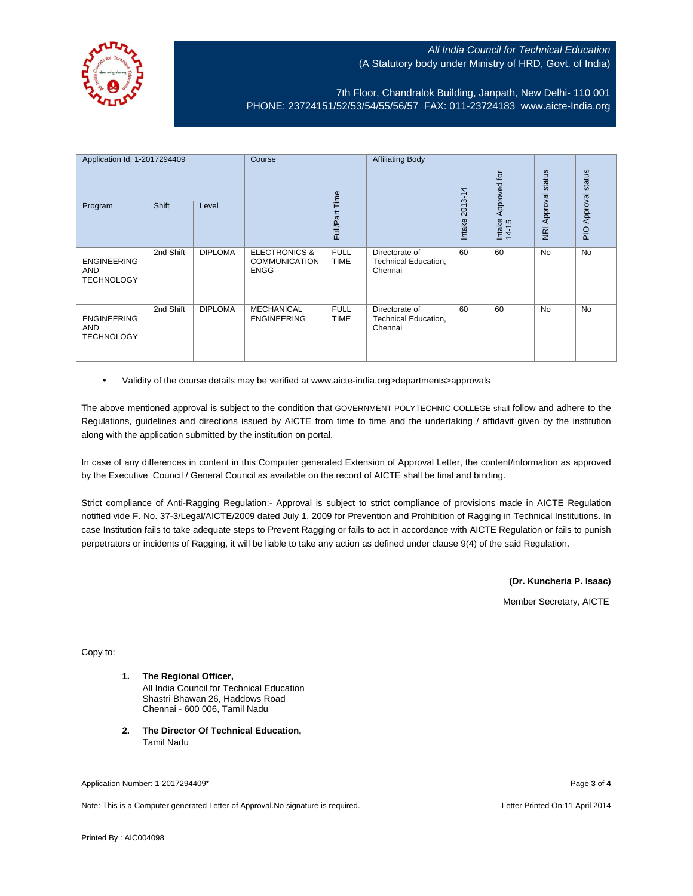

7th Floor, Chandralok Building, Janpath, New Delhi- 110 001 PHONE: 23724151/52/53/54/55/56/57 FAX: 011-23724183 [www.aicte-India.org](http://www.aicte-india.org/)

| Application Id: 1-2017294409<br>Shift<br>Program<br>Level |           | Course         |                                                                 | <b>Affiliating Body</b>    | 2013-14                                                  | Approved for | status<br>Approval | status<br>Approval |             |
|-----------------------------------------------------------|-----------|----------------|-----------------------------------------------------------------|----------------------------|----------------------------------------------------------|--------------|--------------------|--------------------|-------------|
|                                                           |           |                |                                                                 | Full/Part Time             |                                                          | Intake       | Intake<br>14-15    | $\overline{g}$     | $rac{Q}{P}$ |
| <b>ENGINEERING</b><br><b>AND</b><br><b>TECHNOLOGY</b>     | 2nd Shift | <b>DIPLOMA</b> | <b>ELECTRONICS &amp;</b><br><b>COMMUNICATION</b><br><b>ENGG</b> | <b>FULL</b><br><b>TIME</b> | Directorate of<br><b>Technical Education,</b><br>Chennai | 60           | 60                 | <b>No</b>          | <b>No</b>   |
| <b>ENGINEERING</b><br><b>AND</b><br><b>TECHNOLOGY</b>     | 2nd Shift | <b>DIPLOMA</b> | <b>MECHANICAL</b><br><b>ENGINEERING</b>                         | <b>FULL</b><br><b>TIME</b> | Directorate of<br><b>Technical Education,</b><br>Chennai | 60           | 60                 | No                 | <b>No</b>   |

• Validity of the course details may be verified at www.aicte-india.org>departments>approvals

The above mentioned approval is subject to the condition that GOVERNMENT POLYTECHNIC COLLEGE shall follow and adhere to the Regulations, guidelines and directions issued by AICTE from time to time and the undertaking / affidavit given by the institution along with the application submitted by the institution on portal.

In case of any differences in content in this Computer generated Extension of Approval Letter, the content/information as approved by the Executive Council / General Council as available on the record of AICTE shall be final and binding.

Strict compliance of Anti-Ragging Regulation:- Approval is subject to strict compliance of provisions made in AICTE Regulation notified vide F. No. 37-3/Legal/AICTE/2009 dated July 1, 2009 for Prevention and Prohibition of Ragging in Technical Institutions. In case Institution fails to take adequate steps to Prevent Ragging or fails to act in accordance with AICTE Regulation or fails to punish perpetrators or incidents of Ragging, it will be liable to take any action as defined under clause 9(4) of the said Regulation.

**(Dr. Kuncheria P. Isaac)**

Member Secretary, AICTE

Copy to:

- **1. The Regional Officer,** All India Council for Technical Education Shastri Bhawan 26, Haddows Road Chennai - 600 006, Tamil Nadu
- **2. The Director Of Technical Education,** Tamil Nadu

Application Number: 1-2017294409\* Page **3** of **4**

Note: This is a Computer generated Letter of Approval.No signature is required. Letter According the state of the Letter Printed On:11 April 2014